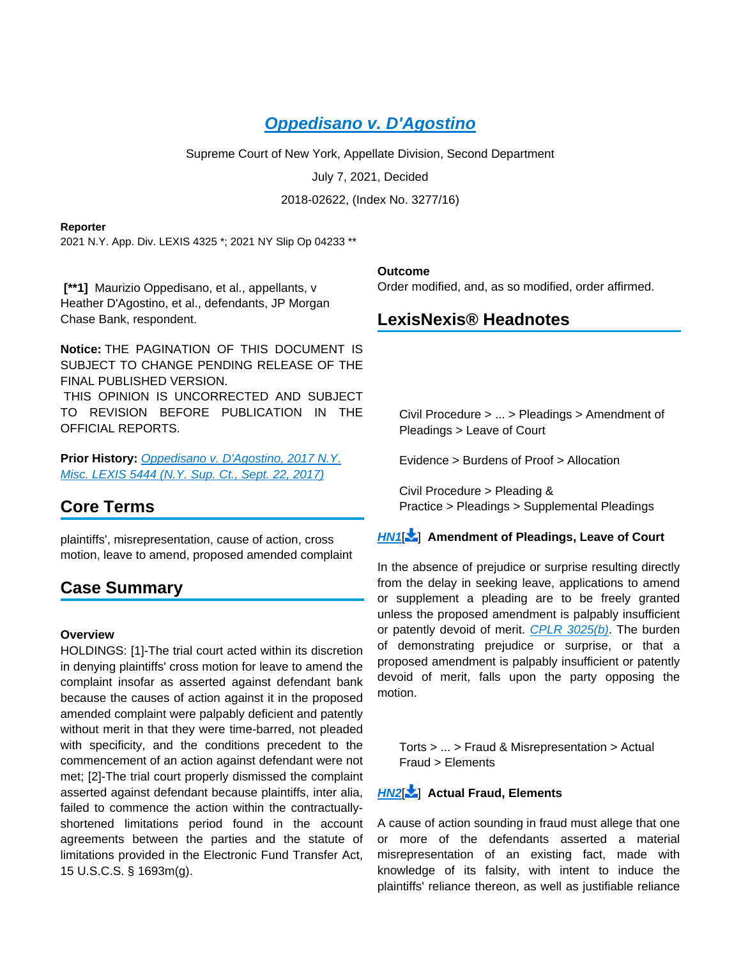# **[Oppedisano v. D'Agostino](https://advance.lexis.com/api/document?collection=cases&id=urn:contentItem:6338-3K71-JTGH-B36K-00000-00&context=1000516)**

Supreme Court of New York, Appellate Division, Second Department

July 7, 2021, Decided

2018-02622, (Index No. 3277/16)

#### **Reporter**

2021 N.Y. App. Div. LEXIS 4325 \*; 2021 NY Slip Op 04233 \*\*

 **[\*\*1]** Maurizio Oppedisano, et al., appellants, v Heather D'Agostino, et al., defendants, JP Morgan Chase Bank, respondent.

**Notice:** THE PAGINATION OF THIS DOCUMENT IS SUBJECT TO CHANGE PENDING RELEASE OF THE FINAL PUBLISHED VERSION.

 THIS OPINION IS UNCORRECTED AND SUBJECT TO REVISION BEFORE PUBLICATION IN THE OFFICIAL REPORTS.

Prior History: Oppedisano v. D'Agostino, 2017 N.Y. [Misc. LEXIS 5444 \(N.Y. Sup. Ct., Sept. 22, 2017\)](https://advance.lexis.com/api/document?collection=cases&id=urn:contentItem:5SPP-8671-F30T-B4GB-00000-00&context=1000516)

# **Core Terms**

plaintiffs', misrepresentation, cause of action, cross motion, leave to amend, proposed amended complaint

# **Case Summary**

### **Overview**

HOLDINGS: [1]-The trial court acted within its discretion in denying plaintiffs' cross motion for leave to amend the complaint insofar as asserted against defendant bank because the causes of action against it in the proposed amended complaint were palpably deficient and patently without merit in that they were time-barred, not pleaded with specificity, and the conditions precedent to the commencement of an action against defendant were not met; [2]-The trial court properly dismissed the complaint asserted against defendant because plaintiffs, inter alia, failed to commence the action within the contractuallyshortened limitations period found in the account agreements between the parties and the statute of limitations provided in the Electronic Fund Transfer Act, 15 U.S.C.S. § 1693m(g).

### **Outcome**

Order modified, and, as so modified, order affirmed.

## **LexisNexis® Headnotes**

Civil Procedure > ... > Pleadings > Amendment of Pleadings > Leave of Court

Evidence > Burdens of Proof > Allocation

Civil Procedure > Pleading & Practice > Pleadings > Supplemental Pleadings

### **[HN1](https://advance.lexis.com/api/document?collection=cases&id=urn:contentItem:6338-3K71-JTGH-B36K-00000-00&context=1000516&link=LNHNREFclscc1)**[ ] **Amendment of Pleadings, Leave of Court**

In the absence of prejudice or surprise resulting directly from the delay in seeking leave, applications to amend or supplement a pleading are to be freely granted unless the proposed amendment is palpably insufficient or patently devoid of merit. [CPLR 3025\(b\)](https://advance.lexis.com/api/document?collection=statutes-legislation&id=urn:contentItem:5CT3-08C1-6RDJ-84J6-00000-00&context=1000516). The burden of demonstrating prejudice or surprise, or that a proposed amendment is palpably insufficient or patently devoid of merit, falls upon the party opposing the motion.

Torts > ... > Fraud & Misrepresentation > Actual Fraud > Elements

## **[HN2](https://advance.lexis.com/api/document?collection=cases&id=urn:contentItem:6338-3K71-JTGH-B36K-00000-00&context=1000516&link=LNHNREFclscc2)**[ ] **Actual Fraud, Elements**

A cause of action sounding in fraud must allege that one or more of the defendants asserted a material misrepresentation of an existing fact, made with knowledge of its falsity, with intent to induce the plaintiffs' reliance thereon, as well as justifiable reliance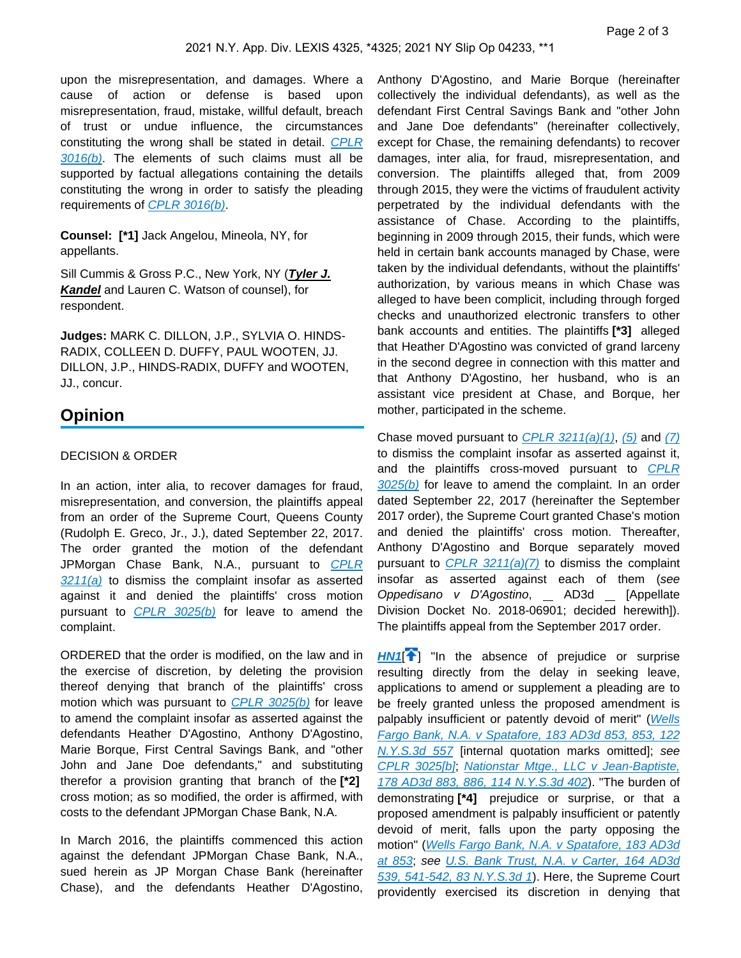upon the misrepresentation, and damages. Where a cause of action or defense is based upon misrepresentation, fraud, mistake, willful default, breach of trust or undue influence, the circumstances constituting the wrong shall be stated in detail. [CPLR](https://advance.lexis.com/api/document?collection=statutes-legislation&id=urn:contentItem:5GFX-TW81-DXC8-00M0-00000-00&context=1000516)   $3016(b)$ . The elements of such claims must all be supported by factual allegations containing the details constituting the wrong in order to satisfy the pleading requirements of [CPLR 3016\(b\)](https://advance.lexis.com/api/document?collection=statutes-legislation&id=urn:contentItem:5GFX-TW81-DXC8-00M0-00000-00&context=1000516).

**Counsel: [\*1]** Jack Angelou, Mineola, NY, for appellants.

Sill Cummis & Gross P.C., New York, NY (**Tyler J. Kandel** and Lauren C. Watson of counsel), for respondent.

**Judges:** MARK C. DILLON, J.P., SYLVIA O. HINDS-RADIX, COLLEEN D. DUFFY, PAUL WOOTEN, JJ. DILLON, J.P., HINDS-RADIX, DUFFY and WOOTEN, JJ., concur.

## **Opinion**

#### DECISION & ORDER

In an action, inter alia, to recover damages for fraud, misrepresentation, and conversion, the plaintiffs appeal from an order of the Supreme Court, Queens County (Rudolph E. Greco, Jr., J.), dated September 22, 2017. The order granted the motion of the defendant JPMorgan Chase Bank, N.A., pursuant to CPLR  $3211(a)$  to dismiss the complaint insofar as asserted against it and denied the plaintiffs' cross motion pursuant to  $CPLR$  3025(b) for leave to amend the complaint.

ORDERED that the order is modified, on the law and in the exercise of discretion, by deleting the provision thereof denying that branch of the plaintiffs' cross motion which was pursuant to  $CPLR$  3025(b) for leave to amend the complaint insofar as asserted against the defendants Heather D'Agostino, Anthony D'Agostino, Marie Borque, First Central Savings Bank, and "other John and Jane Doe defendants," and substituting therefor a provision granting that branch of the **[\*2]**  cross motion; as so modified, the order is affirmed, with costs to the defendant JPMorgan Chase Bank, N.A.

In March 2016, the plaintiffs commenced this action against the defendant JPMorgan Chase Bank, N.A., sued herein as JP Morgan Chase Bank (hereinafter Chase), and the defendants Heather D'Agostino,

Anthony D'Agostino, and Marie Borque (hereinafter collectively the individual defendants), as well as the defendant First Central Savings Bank and "other John and Jane Doe defendants" (hereinafter collectively, except for Chase, the remaining defendants) to recover damages, inter alia, for fraud, misrepresentation, and conversion. The plaintiffs alleged that, from 2009 through 2015, they were the victims of fraudulent activity perpetrated by the individual defendants with the assistance of Chase. According to the plaintiffs, beginning in 2009 through 2015, their funds, which were held in certain bank accounts managed by Chase, were taken by the individual defendants, without the plaintiffs' authorization, by various means in which Chase was alleged to have been complicit, including through forged checks and unauthorized electronic transfers to other bank accounts and entities. The plaintiffs **[\*3]** alleged that Heather D'Agostino was convicted of grand larceny in the second degree in connection with this matter and that Anthony D'Agostino, her husband, who is an assistant vice president at Chase, and Borque, her mother, participated in the scheme.

Chase moved pursuant to CPLR  $3211(a)(1)$ , [\(5\)](https://advance.lexis.com/api/document?collection=statutes-legislation&id=urn:contentItem:618R-GP63-CH1B-T1NB-00000-00&context=1000516) and [\(7\)](https://advance.lexis.com/api/document?collection=statutes-legislation&id=urn:contentItem:618R-GP63-CH1B-T1NB-00000-00&context=1000516) to dismiss the complaint insofar as asserted against it, and the plaintiffs cross-moved pursuant to CPLR  $3025(b)$  for leave to amend the complaint. In an order dated September 22, 2017 (hereinafter the September 2017 order), the Supreme Court granted Chase's motion and denied the plaintiffs' cross motion. Thereafter, Anthony D'Agostino and Borque separately moved pursuant to CPLR  $3211(a)/7$  to dismiss the complaint insofar as asserted against each of them (see Oppedisano v D'Agostino, \_ AD3d \_ [Appellate Division Docket No. 2018-06901; decided herewith]). The plaintiffs appeal from the September 2017 order.

**[HN1](https://advance.lexis.com/api/document?collection=cases&id=urn:contentItem:6338-3K71-JTGH-B36K-00000-00&context=1000516&link=clscc1)<sup>[4</sup>]** "In the absence of prejudice or surprise resulting directly from the delay in seeking leave, applications to amend or supplement a pleading are to be freely granted unless the proposed amendment is palpably insufficient or patently devoid of merit" (Wells [Fargo Bank, N.A. v Spatafore, 183 AD3d 853, 853, 122](https://advance.lexis.com/api/document?collection=cases&id=urn:contentItem:5YY6-4RS1-F22N-X054-00000-00&context=1000516)  [N.Y.S.3d 557](https://advance.lexis.com/api/document?collection=cases&id=urn:contentItem:5YY6-4RS1-F22N-X054-00000-00&context=1000516) [internal quotation marks omitted]; see [CPLR 3025\[b\]](https://advance.lexis.com/api/document?collection=statutes-legislation&id=urn:contentItem:5CT3-08C1-6RDJ-84J6-00000-00&context=1000516); [Nationstar Mtge., LLC v Jean-Baptiste,](https://advance.lexis.com/api/document?collection=cases&id=urn:contentItem:5XSB-YM91-FK0M-S1XK-00000-00&context=1000516)  [178 AD3d 883, 886, 114 N.Y.S.3d 402](https://advance.lexis.com/api/document?collection=cases&id=urn:contentItem:5XSB-YM91-FK0M-S1XK-00000-00&context=1000516)). "The burden of demonstrating **[\*4]** prejudice or surprise, or that a proposed amendment is palpably insufficient or patently devoid of merit, falls upon the party opposing the motion" ([Wells Fargo Bank, N.A. v Spatafore, 183 AD3d](https://advance.lexis.com/api/document?collection=cases&id=urn:contentItem:5YY6-4RS1-F22N-X054-00000-00&context=1000516)  [at 853](https://advance.lexis.com/api/document?collection=cases&id=urn:contentItem:5YY6-4RS1-F22N-X054-00000-00&context=1000516); see [U.S. Bank Trust, N.A. v Carter, 164 AD3d](https://advance.lexis.com/api/document?collection=cases&id=urn:contentItem:5SXW-GFH1-F8SS-600M-00000-00&context=1000516)  [539, 541-542, 83 N.Y.S.3d 1](https://advance.lexis.com/api/document?collection=cases&id=urn:contentItem:5SXW-GFH1-F8SS-600M-00000-00&context=1000516)). Here, the Supreme Court providently exercised its discretion in denying that